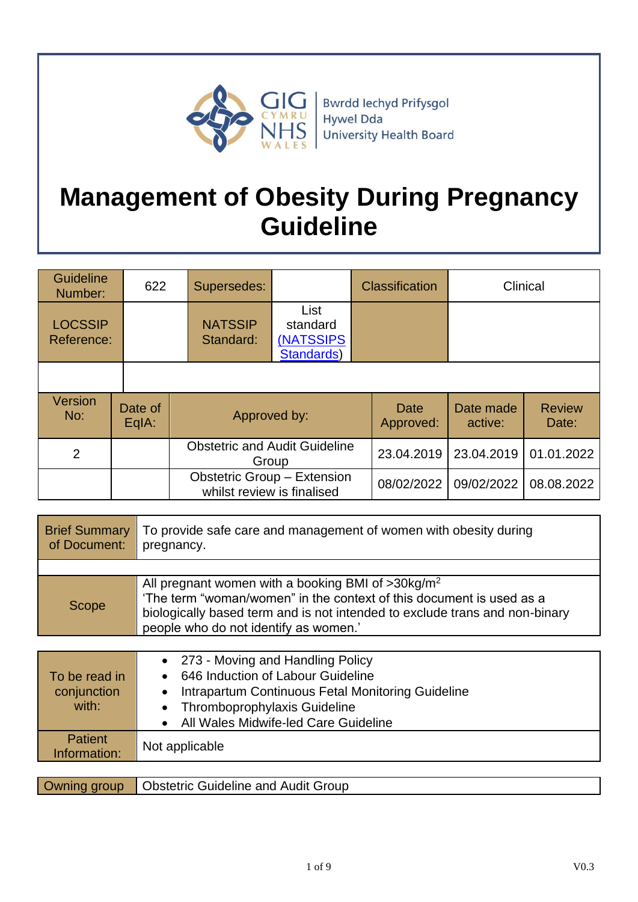

# **Management of Obesity During Pregnancy Guideline**

| <b>Guideline</b><br>Number:  | 622              | Supersedes:                                                      |                                                     | Classification |                      | Clinical               |
|------------------------------|------------------|------------------------------------------------------------------|-----------------------------------------------------|----------------|----------------------|------------------------|
| <b>LOCSSIP</b><br>Reference: |                  | <b>NATSSIP</b><br>Standard:                                      | List<br>standard<br><b>(NATSSIPS)</b><br>Standards) |                |                      |                        |
|                              |                  |                                                                  |                                                     |                |                      |                        |
| <b>Version</b><br>No:        | Date of<br>EqIA: |                                                                  | Approved by:                                        |                | Date made<br>active: | <b>Review</b><br>Date: |
| $\overline{2}$               |                  |                                                                  | <b>Obstetric and Audit Guideline</b><br>Group       |                | 23.04.2019           | 01.01.2022             |
|                              |                  | <b>Obstetric Group - Extension</b><br>whilst review is finalised |                                                     | 08/02/2022     | 09/02/2022           | 08.08.2022             |

| <b>Brief Summary</b><br>of Document: | To provide safe care and management of women with obesity during<br>pregnancy.                                                                                                                                                                                   |
|--------------------------------------|------------------------------------------------------------------------------------------------------------------------------------------------------------------------------------------------------------------------------------------------------------------|
|                                      |                                                                                                                                                                                                                                                                  |
| Scope                                | All pregnant women with a booking BMI of $>30$ kg/m <sup>2</sup><br>'The term "woman/women" in the context of this document is used as a<br>biologically based term and is not intended to exclude trans and non-binary<br>people who do not identify as women.' |

| To be read in<br>conjunction<br>with: | • 273 - Moving and Handling Policy<br>646 Induction of Labour Guideline<br>Intrapartum Continuous Fetal Monitoring Guideline<br><b>Thromboprophylaxis Guideline</b><br>All Wales Midwife-led Care Guideline |  |
|---------------------------------------|-------------------------------------------------------------------------------------------------------------------------------------------------------------------------------------------------------------|--|
| <b>Patient</b><br>Information:        | Not applicable                                                                                                                                                                                              |  |
|                                       |                                                                                                                                                                                                             |  |
| Owning group                          | <b>Obstetric Guideline and Audit Group</b>                                                                                                                                                                  |  |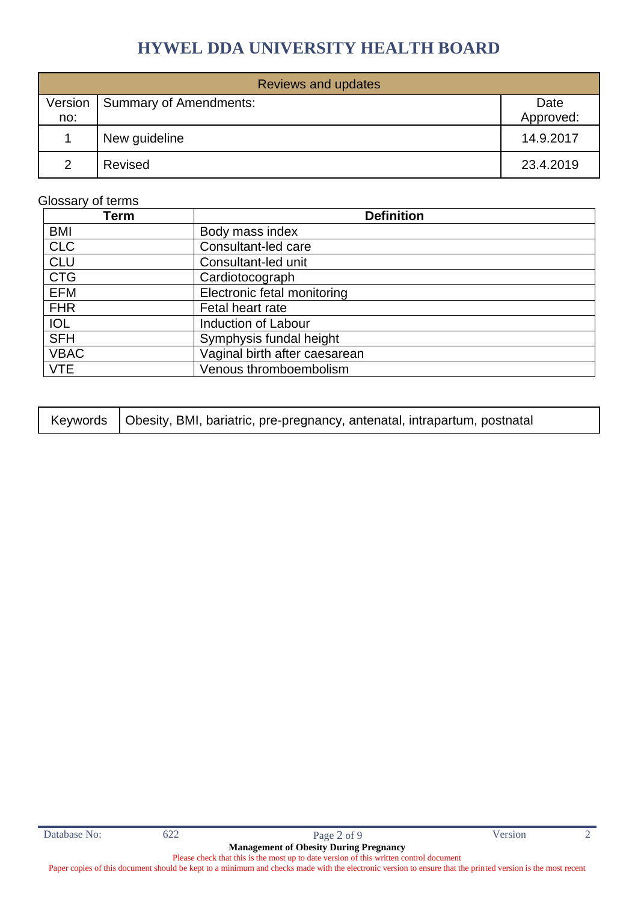| <b>Reviews and updates</b> |                        |           |  |  |
|----------------------------|------------------------|-----------|--|--|
| Version                    | Summary of Amendments: | Date      |  |  |
| no:                        |                        | Approved: |  |  |
|                            | New guideline          | 14.9.2017 |  |  |
| $\mathcal{D}$              | Revised                | 23.4.2019 |  |  |

#### Glossary of terms

| Term        | <b>Definition</b>             |
|-------------|-------------------------------|
| <b>BMI</b>  | Body mass index               |
| <b>CLC</b>  | Consultant-led care           |
| <b>CLU</b>  | Consultant-led unit           |
| <b>CTG</b>  | Cardiotocograph               |
| EFM         | Electronic fetal monitoring   |
| <b>FHR</b>  | Fetal heart rate              |
| <b>IOL</b>  | <b>Induction of Labour</b>    |
| <b>SFH</b>  | Symphysis fundal height       |
| <b>VBAC</b> | Vaginal birth after caesarean |
| <b>VTE</b>  | Venous thromboembolism        |

| Keywords   Obesity, BMI, bariatric, pre-pregnancy, antenatal, intrapartum, postnatal |  |
|--------------------------------------------------------------------------------------|--|
|--------------------------------------------------------------------------------------|--|

Paper copies of this document should be kept to a minimum and checks made with the electronic version to ensure that the printed version is the most recent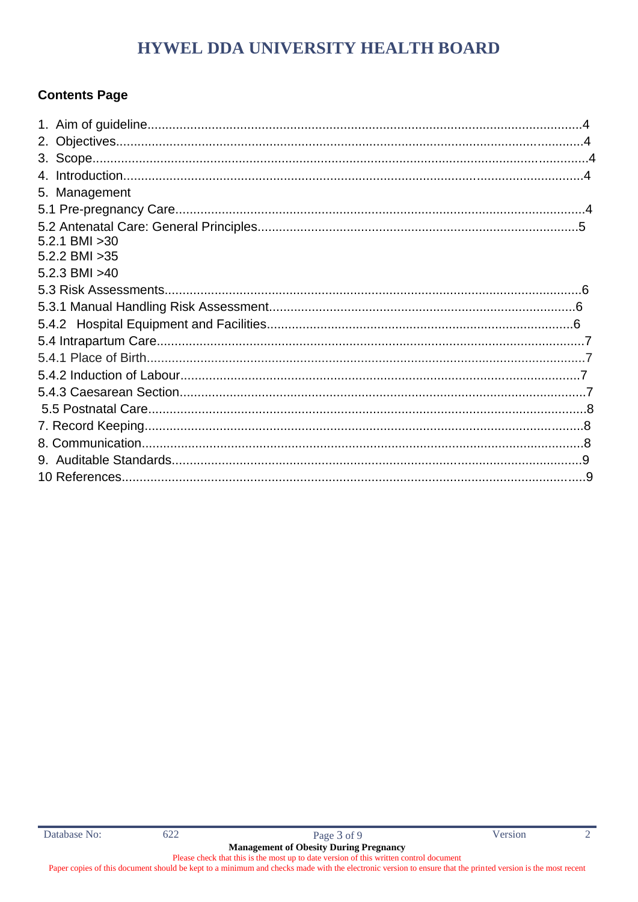# **Contents Page**

| 5. Management     |  |
|-------------------|--|
|                   |  |
| $5.2.1$ BMI $>30$ |  |
| 5.2.2 BMI > 35    |  |
| 5.2.3 BMI > 40    |  |
|                   |  |
|                   |  |
|                   |  |
|                   |  |
|                   |  |
|                   |  |
|                   |  |
|                   |  |
|                   |  |
|                   |  |
|                   |  |
|                   |  |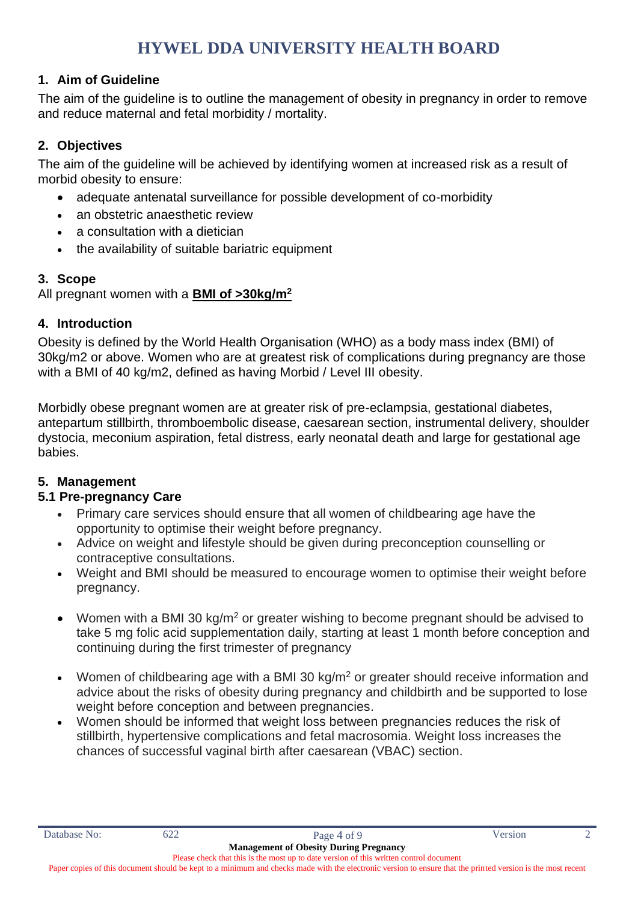#### **1. Aim of Guideline**

The aim of the guideline is to outline the management of obesity in pregnancy in order to remove and reduce maternal and fetal morbidity / mortality.

#### **2. Objectives**

The aim of the guideline will be achieved by identifying women at increased risk as a result of morbid obesity to ensure:

- adequate antenatal surveillance for possible development of co-morbidity
- an obstetric anaesthetic review
- a consultation with a dietician
- the availability of suitable bariatric equipment

#### **3. Scope**

All pregnant women with a **BMI of >30kg/m<sup>2</sup>**

#### **4. Introduction**

Obesity is defined by the World Health Organisation (WHO) as a body mass index (BMI) of 30kg/m2 or above. Women who are at greatest risk of complications during pregnancy are those with a BMI of 40 kg/m2, defined as having Morbid / Level III obesity.

Morbidly obese pregnant women are at greater risk of pre-eclampsia, gestational diabetes, antepartum stillbirth, thromboembolic disease, caesarean section, instrumental delivery, shoulder dystocia, meconium aspiration, fetal distress, early neonatal death and large for gestational age babies.

#### **5. Management**

#### **5.1 Pre-pregnancy Care**

- Primary care services should ensure that all women of childbearing age have the opportunity to optimise their weight before pregnancy.
- Advice on weight and lifestyle should be given during preconception counselling or contraceptive consultations.
- Weight and BMI should be measured to encourage women to optimise their weight before pregnancy.
- Women with a BMI 30 kg/m<sup>2</sup> or greater wishing to become pregnant should be advised to take 5 mg folic acid supplementation daily, starting at least 1 month before conception and continuing during the first trimester of pregnancy
- Women of childbearing age with a BMI 30 kg/m<sup>2</sup> or greater should receive information and advice about the risks of obesity during pregnancy and childbirth and be supported to lose weight before conception and between pregnancies.
- Women should be informed that weight loss between pregnancies reduces the risk of stillbirth, hypertensive complications and fetal macrosomia. Weight loss increases the chances of successful vaginal birth after caesarean (VBAC) section.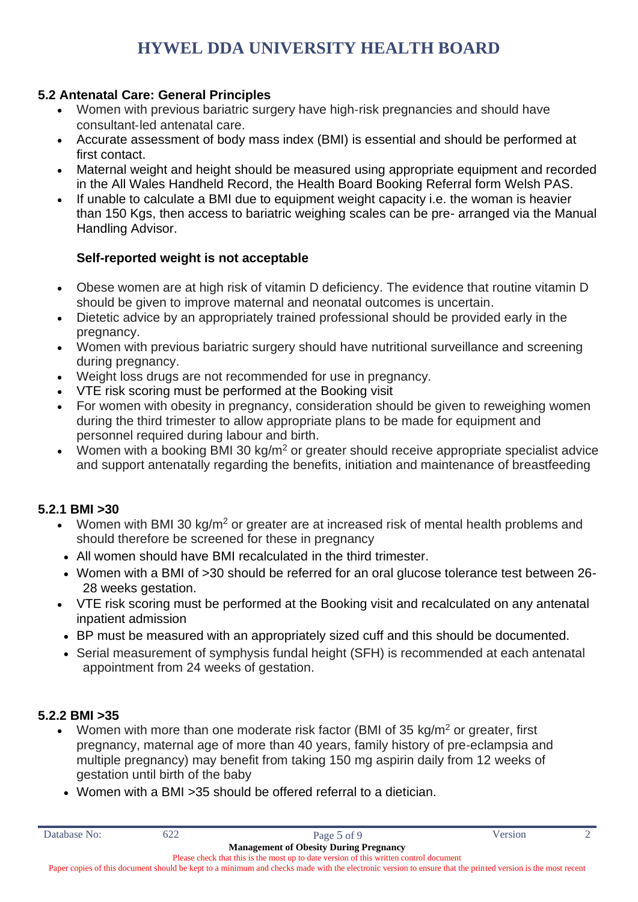#### **5.2 Antenatal Care: General Principles**

- Women with previous bariatric surgery have high-risk pregnancies and should have consultant‐led antenatal care.
- Accurate assessment of body mass index (BMI) is essential and should be performed at first contact.
- Maternal weight and height should be measured using appropriate equipment and recorded in the All Wales Handheld Record, the Health Board Booking Referral form Welsh PAS.
- If unable to calculate a BMI due to equipment weight capacity i.e. the woman is heavier than 150 Kgs, then access to bariatric weighing scales can be pre- arranged via the Manual Handling Advisor.

### **Self-reported weight is not acceptable**

- Obese women are at high risk of vitamin D deficiency. The evidence that routine vitamin D should be given to improve maternal and neonatal outcomes is uncertain.
- Dietetic advice by an appropriately trained professional should be provided early in the pregnancy.
- Women with previous bariatric surgery should have nutritional surveillance and screening during pregnancy.
- Weight loss drugs are not recommended for use in pregnancy.
- VTE risk scoring must be performed at the Booking visit
- For women with obesity in pregnancy, consideration should be given to reweighing women during the third trimester to allow appropriate plans to be made for equipment and personnel required during labour and birth.
- Women with a booking BMI 30 kg/m<sup>2</sup> or greater should receive appropriate specialist advice and support antenatally regarding the benefits, initiation and maintenance of breastfeeding

#### **5.2.1 BMI >30**

- Women with BMI 30 kg/m<sup>2</sup> or greater are at increased risk of mental health problems and should therefore be screened for these in pregnancy
- All women should have BMI recalculated in the third trimester.
- Women with a BMI of >30 should be referred for an oral glucose tolerance test between 26-28 weeks gestation.
- VTE risk scoring must be performed at the Booking visit and recalculated on any antenatal inpatient admission
- BP must be measured with an appropriately sized cuff and this should be documented.
- Serial measurement of symphysis fundal height (SFH) is recommended at each antenatal appointment from 24 weeks of gestation.

#### **5.2.2 BMI >35**

- Women with more than one moderate risk factor (BMI of 35 kg/m<sup>2</sup> or greater, first pregnancy, maternal age of more than 40 years, family history of pre‐eclampsia and multiple pregnancy) may benefit from taking 150 mg aspirin daily from 12 weeks of gestation until birth of the baby
- Women with a BMI > 35 should be offered referral to a dietician.

Paper copies of this document should be kept to a minimum and checks made with the electronic version to ensure that the printed version is the most recent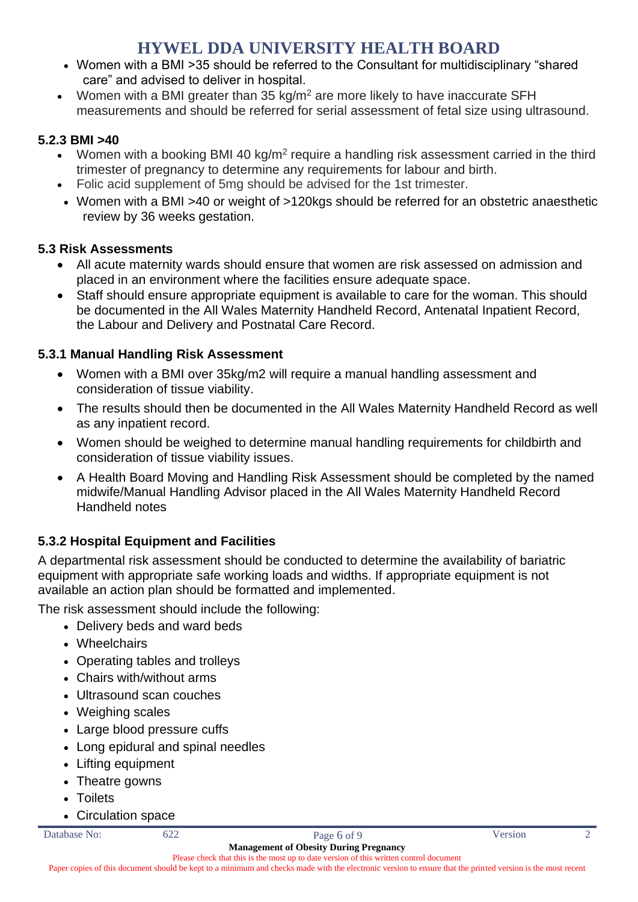- Women with a BMI >35 should be referred to the Consultant for multidisciplinary "shared care" and advised to deliver in hospital.
- Women with a BMI greater than 35 kg/m<sup>2</sup> are more likely to have inaccurate SFH measurements and should be referred for serial assessment of fetal size using ultrasound.

### **5.2.3 BMI >40**

- Women with a booking BMI 40 kg/m<sup>2</sup> require a handling risk assessment carried in the third trimester of pregnancy to determine any requirements for labour and birth.
- Folic acid supplement of 5mg should be advised for the 1st trimester.
- Women with a BMI >40 or weight of >120kgs should be referred for an obstetric anaesthetic review by 36 weeks gestation.

#### **5.3 Risk Assessments**

- All acute maternity wards should ensure that women are risk assessed on admission and placed in an environment where the facilities ensure adequate space.
- Staff should ensure appropriate equipment is available to care for the woman. This should be documented in the All Wales Maternity Handheld Record, Antenatal Inpatient Record, the Labour and Delivery and Postnatal Care Record.

### **5.3.1 Manual Handling Risk Assessment**

- Women with a BMI over 35kg/m2 will require a manual handling assessment and consideration of tissue viability.
- The results should then be documented in the All Wales Maternity Handheld Record as well as any inpatient record.
- Women should be weighed to determine manual handling requirements for childbirth and consideration of tissue viability issues.
- A Health Board Moving and Handling Risk Assessment should be completed by the named midwife/Manual Handling Advisor placed in the All Wales Maternity Handheld Record Handheld notes

# **5.3.2 Hospital Equipment and Facilities**

A departmental risk assessment should be conducted to determine the availability of bariatric equipment with appropriate safe working loads and widths. If appropriate equipment is not available an action plan should be formatted and implemented.

The risk assessment should include the following:

- Delivery beds and ward beds
- Wheelchairs
- Operating tables and trolleys
- Chairs with/without arms
- Ultrasound scan couches
- Weighing scales
- Large blood pressure cuffs
- Long epidural and spinal needles
- Lifting equipment
- Theatre gowns
- Toilets
- Circulation space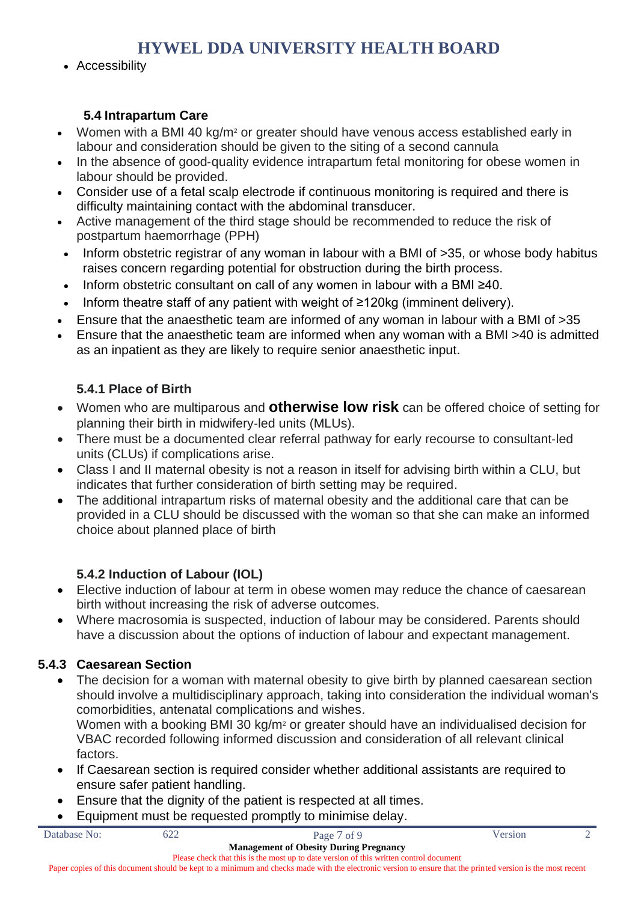• Accessibility

### **5.4 Intrapartum Care**

- Women with a BMI 40 kg/m<sup>2</sup> or greater should have venous access established early in labour and consideration should be given to the siting of a second cannula
- In the absence of good-quality evidence intrapartum fetal monitoring for obese women in labour should be provided.
- Consider use of a fetal scalp electrode if continuous monitoring is required and there is difficulty maintaining contact with the abdominal transducer.
- Active management of the third stage should be recommended to reduce the risk of postpartum haemorrhage (PPH)
- Inform obstetric registrar of any woman in labour with a BMI of >35, or whose body habitus raises concern regarding potential for obstruction during the birth process.
- Inform obstetric consultant on call of any women in labour with a BMI ≥40.
- Inform theatre staff of any patient with weight of  $\geq$ 120kg (imminent delivery).
- Ensure that the anaesthetic team are informed of any woman in labour with a BMI of >35
- Ensure that the anaesthetic team are informed when any woman with a BMI >40 is admitted as an inpatient as they are likely to require senior anaesthetic input.

# **5.4.1 Place of Birth**

- Women who are multiparous and **otherwise low risk** can be offered choice of setting for planning their birth in midwifery‐led units (MLUs).
- There must be a documented clear referral pathway for early recourse to consultant‐led units (CLUs) if complications arise.
- Class I and II maternal obesity is not a reason in itself for advising birth within a CLU, but indicates that further consideration of birth setting may be required.
- The additional intrapartum risks of maternal obesity and the additional care that can be provided in a CLU should be discussed with the woman so that she can make an informed choice about planned place of birth

### **5.4.2 Induction of Labour (IOL)**

- Elective induction of labour at term in obese women may reduce the chance of caesarean birth without increasing the risk of adverse outcomes.
- Where macrosomia is suspected, induction of labour may be considered. Parents should have a discussion about the options of induction of labour and expectant management.

### **5.4.3 Caesarean Section**

• The decision for a woman with maternal obesity to give birth by planned caesarean section should involve a multidisciplinary approach, taking into consideration the individual woman's comorbidities, antenatal complications and wishes.

Women with a booking BMI 30 kg/m<sup>2</sup> or greater should have an individualised decision for VBAC recorded following informed discussion and consideration of all relevant clinical factors.

- If Caesarean section is required consider whether additional assistants are required to ensure safer patient handling.
- Ensure that the dignity of the patient is respected at all times.
- Equipment must be requested promptly to minimise delay.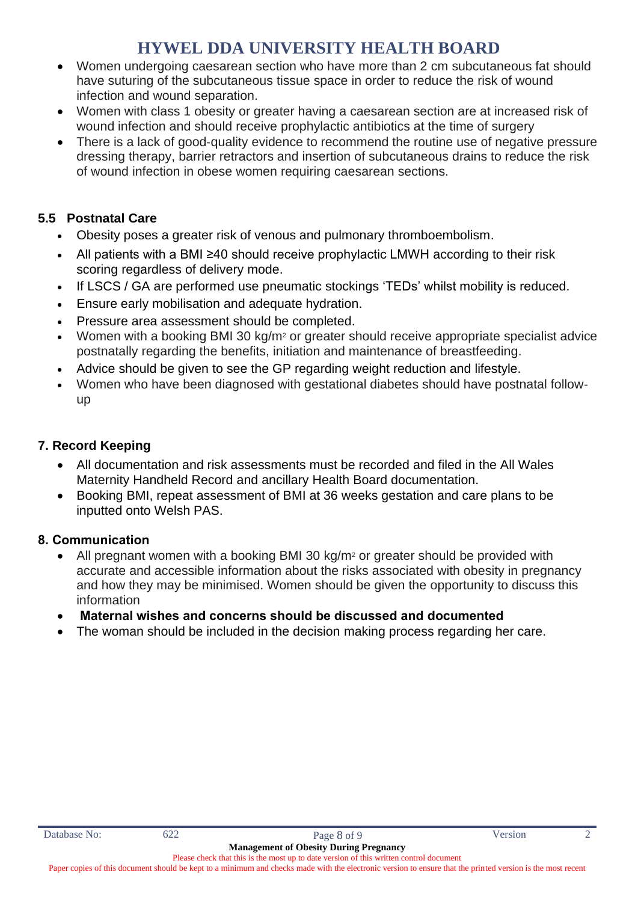- Women undergoing caesarean section who have more than 2 cm subcutaneous fat should have suturing of the subcutaneous tissue space in order to reduce the risk of wound infection and wound separation.
- Women with class 1 obesity or greater having a caesarean section are at increased risk of wound infection and should receive prophylactic antibiotics at the time of surgery
- There is a lack of good-quality evidence to recommend the routine use of negative pressure dressing therapy, barrier retractors and insertion of subcutaneous drains to reduce the risk of wound infection in obese women requiring caesarean sections.

# **5.5 Postnatal Care**

- Obesity poses a greater risk of venous and pulmonary thromboembolism.
- All patients with a BMI ≥40 should receive prophylactic LMWH according to their risk scoring regardless of delivery mode.
- If LSCS / GA are performed use pneumatic stockings 'TEDs' whilst mobility is reduced.
- Ensure early mobilisation and adequate hydration.
- Pressure area assessment should be completed.
- Women with a booking BMI 30 kg/m<sup>2</sup> or greater should receive appropriate specialist advice postnatally regarding the benefits, initiation and maintenance of breastfeeding.
- Advice should be given to see the GP regarding weight reduction and lifestyle.
- Women who have been diagnosed with gestational diabetes should have postnatal follow‐ up

# **7. Record Keeping**

- All documentation and risk assessments must be recorded and filed in the All Wales Maternity Handheld Record and ancillary Health Board documentation.
- Booking BMI, repeat assessment of BMI at 36 weeks gestation and care plans to be inputted onto Welsh PAS.

### **8. Communication**

- All pregnant women with a booking BMI 30 kg/m<sup>2</sup> or greater should be provided with accurate and accessible information about the risks associated with obesity in pregnancy and how they may be minimised. Women should be given the opportunity to discuss this information
- **Maternal wishes and concerns should be discussed and documented**
- The woman should be included in the decision making process regarding her care.